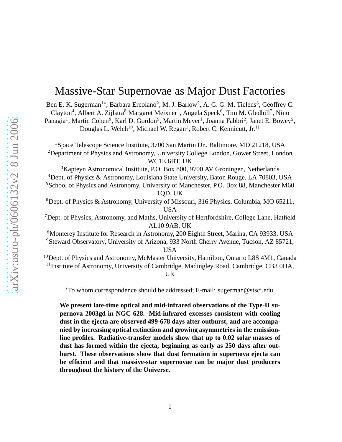# Massive-Star Supernovae as Major Dust Factories

Ben E. K. Sugerman<sup>1\*</sup>, Barbara Ercolano<sup>2</sup>, M. J. Barlow<sup>2</sup>, A. G. G. M. Tielens<sup>3</sup>, Geoffrey C. Clayton<sup>4</sup>, Albert A. Zijlstra<sup>5</sup> Margaret Meixner<sup>1</sup>, Angela Speck<sup>6</sup>, Tim M. Gledhill<sup>7</sup>, Nino Panagia<sup>1</sup>, Martin Cohen<sup>8</sup>, Karl D. Gordon<sup>9</sup>, Martin Meyer<sup>1</sup>, Joanna Fabbri<sup>2</sup>, Janet E. Bowey<sup>2</sup>, Douglas L. Welch<sup>10</sup>, Michael W. Regan<sup>1</sup>, Robert C. Kennicutt, Jr.<sup>11</sup>

<sup>1</sup>Space Telescope Science Institute, 3700 San Martin Dr., Baltimore, MD 21218, USA <sup>2</sup>Department of Physics and Astronomy, University College London, Gower Street, London WC1E 6BT, UK

<sup>3</sup>Kapteyn Astronomical Institute, P.O. Box 800, 9700 AV Groningen, Netherlands <sup>4</sup>Dept. of Physics & Astronomy, Louisiana State University, Baton Rouge, LA 70803, USA <sup>5</sup>School of Physics and Astronomy, University of Manchester, P.O. Box 88, Manchester M60 1QD, UK

 $6$ Dept. of Physics & Astronomy, University of Missouri, 316 Physics, Columbia, MO 65211, USA

<sup>7</sup>Dept. of Physics, Astronomy, and Maths, University of Hertfordshire, College Lane, Hatfield AL10 9AB, UK

<sup>8</sup>Monterey Institute for Research in Astronomy, 200 Eighth Street, Marina, CA 93933, USA <sup>9</sup>Steward Observatory, University of Arizona, 933 North Cherry Avenue, Tucson, AZ 85721,

USA

<sup>10</sup>Dept. of Physics and Astronomy, McMaster University, Hamilton, Ontario L8S 4M1, Canada <sup>11</sup> Institute of Astronomy, University of Cambridge, Madingley Road, Cambridge, CB3 0HA, UK

<sup>∗</sup>To whom correspondence should be addressed; E-mail: sugerman@stsci.edu.

**We present late-time optical and mid-infrared observations of the Type-II supernova 2003gd in NGC 628. Mid-infrared excesses consistent with cooling dust in the ejecta are observed 499-678 days after outburst, and are accompanied by increasing optical extinction and growing asymmetries in the emissionline profiles. Radiative-transfer models show that up to 0.02 solar masses of dust has formed within the ejecta, beginning as early as 250 days after outburst. These observations show that dust formation in supernova ejecta can be efficient and that massive-star supernovae can be major dust producers throughout the history of the Universe.**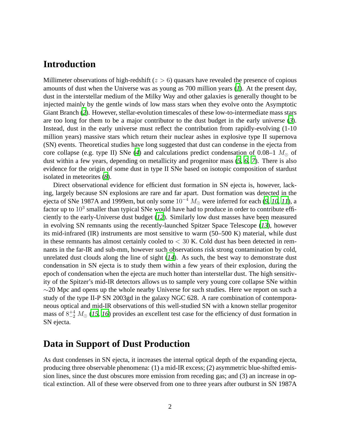## **Introduction**

Millimeter observations of high-redshift ( $z > 6$ ) quasars have revealed the presence of copious amounts of dust when the Universe was as young as 700 million years (*[1](#page-8-0)*). At the present day, dust in the interstellar medium of the Milky Way and other galaxies is generally thought to be injected mainly by the gentle winds of low mass stars when they evolve onto the Asymptotic Giant Branch (*[2](#page-8-1)*). However, stellar-evolution timescales of these low-to-intermediate mass stars are too long for them to be a major contributor to the dust budget in the early universe (*[3](#page-8-2)*). Instead, dust in the early universe must reflect the contribution from rapidly-evolving (1-10 million years) massive stars which return their nuclear ashes in explosive type II supernova (SN) events. Theoretical studies have long suggested that dust can condense in the ejecta from core collapse (e.g. type II) SNe ([4](#page-8-3)) and calculations predict condensation of  $0.08-1$   $M_{\odot}$  of dust within a few years, depending on metallicity and progenitor mass (*[5](#page-9-0)*, *[6](#page-9-1)*, *[7](#page-9-2)*). There is also evidence for the origin of some dust in type II SNe based on isotopic composition of stardust isolated in meteorites (*[8](#page-9-3)*).

Direct observational evidence for efficient dust formation in SN ejecta is, however, lacking, largely because SN explosions are rare and far apart. Dust formation was detected in the ejecta of SNe 1987A and 1999em, but only some 10<sup>−</sup><sup>4</sup> M<sup>⊙</sup> were inferred for each (*[9](#page-9-4)*, *[10](#page-9-5)*, *[11](#page-9-6)*), a factor up to  $10^3$  smaller than typical SNe would have had to produce in order to contribute efficiently to the early-Universe dust budget (*[12](#page-9-7)*). Similarly low dust masses have been measured in evolving SN remnants using the recently-launched Spitzer Space Telescope (*[13](#page-9-8)*), however its mid-infrared (IR) instruments are most sensitive to warm (50–500 K) material, while dust in these remnants has almost certainly cooled to  $< 30$  K. Cold dust has been detected in remnants in the far-IR and sub-mm, however such observations risk strong contamination by cold, unrelated dust clouds along the line of sight (*[14](#page-9-9)*). As such, the best way to demonstrate dust condensation in SN ejecta is to study them within a few years of their explosion, during the epoch of condensation when the ejecta are much hotter than interstellar dust. The high sensitivity of the Spitzer's mid-IR detectors allows us to sample very young core collapse SNe within  $\sim$ 20 Mpc and opens up the whole nearby Universe for such studies. Here we report on such a study of the type II-P SN 2003gd in the galaxy NGC 628. A rare combination of contemporaneous optical and mid-IR observations of this well-studied SN with a known stellar progenitor mass of  $8^{+4}_{-2}$   $M_{\odot}$  ([15](#page-9-10), [16](#page-9-11)) provides an excellent test case for the efficiency of dust formation in SN ejecta.

### **Data in Support of Dust Production**

As dust condenses in SN ejecta, it increases the internal optical depth of the expanding ejecta, producing three observable phenomena: (1) a mid-IR excess; (2) asymmetric blue-shifted emission lines, since the dust obscures more emission from receding gas; and (3) an increase in optical extinction. All of these were observed from one to three years after outburst in SN 1987A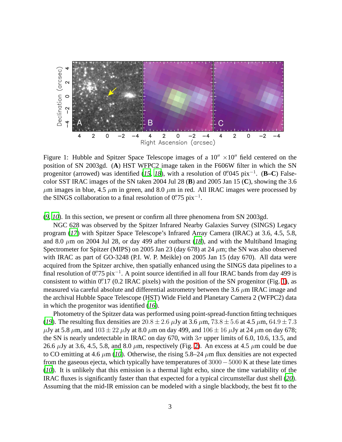

<span id="page-2-0"></span>Figure 1: Hubble and Spitzer Space Telescope images of a  $10'' \times 10''$  field centered on the position of SN 2003gd. (**A**) HST WFPC2 image taken in the F606W filter in which the SN progenitor (arrowed) was identified ([15](#page-9-10), [18](#page-9-12)), with a resolution of 0''045 pix<sup>-1</sup>. (**B**−C) Falsecolor SST IRAC images of the SN taken 2004 Jul 28 (**B**) and 2005 Jan 15 (**C**), showing the 3.6  $\mu$ m images in blue, 4.5  $\mu$ m in green, and 8.0  $\mu$ m in red. All IRAC images were processed by the SINGS collaboration to a final resolution of  $0\rlap{.}^{\prime\prime}75$  pix<sup>-1</sup>.

(*[9](#page-9-4)*, *[10](#page-9-5)*). In this section, we present or confirm all three phenomena from SN 2003gd.

NGC 628 was observed by the Spitzer Infrared Nearby Galaxies Survey (SINGS) Legacy program (*[17](#page-9-13)*) with Spitzer Space Telescope's Infrared Array Camera (IRAC) at 3.6, 4.5, 5.8, and 8.0  $\mu$ m on 2004 Jul 28, or day 499 after outburst ([18](#page-9-12)), and with the Multiband Imaging Spectrometer for Spitzer (MIPS) on 2005 Jan 23 (day 678) at 24  $\mu$ m; the SN was also observed with IRAC as part of GO-3248 (P.I. W. P. Meikle) on 2005 Jan 15 (day 670). All data were acquired from the Spitzer archive, then spatially enhanced using the SINGS data pipelines to a final resolution of 0".75 pix<sup>-1</sup>. A point source identified in all four IRAC bands from day 499 is consistent to within 0'.17 (0.2 IRAC pixels) with the position of the SN progenitor (Fig. [1\)](#page-2-0), as measured via careful absolute and differential astrometry between the 3.6  $\mu$ m IRAC image and the archival Hubble Space Telescope (HST) Wide Field and Planetary Camera 2 (WFPC2) data in which the progenitor was identified (*[16](#page-9-11)*).

Photometry of the Spitzer data was performed using point-spread-function fitting techniques (*[19](#page-9-14)*). The resulting flux densities are  $20.8 \pm 2.6 \,\mu$ Jy at  $3.6 \,\mu$ m,  $73.8 \pm 5.6$  at  $4.5 \,\mu$ m,  $64.9 \pm 7.3$  $\mu$ Jy at 5.8  $\mu$ m, and  $103 \pm 22 \mu$ Jy at 8.0  $\mu$ m on day 499, and  $106 \pm 16 \mu$ Jy at 24  $\mu$ m on day 678; the SN is nearly undetectable in IRAC on day 670, with  $3\sigma$  upper limits of 6.0, 10.6, 13.5, and 26.6  $\mu$ Jy at 3.6, 4.5, 5.8, and 8.0  $\mu$ m, respectively (Fig. [2\)](#page-3-0). An excess at 4.5  $\mu$ m could be due to CO emitting at 4.6  $\mu$ m (*[10](#page-9-5)*). Otherwise, the rising 5.8–24  $\mu$ m flux densities are not expected from the gaseous ejecta, which typically have temperatures of 3000−5000 K at these late times (*[10](#page-9-5)*). It is unlikely that this emission is a thermal light echo, since the time variability of the IRAC fluxes is significantly faster than that expected for a typical circumstellar dust shell (*[20](#page-9-15)*). Assuming that the mid-IR emission can be modeled with a single blackbody, the best fit to the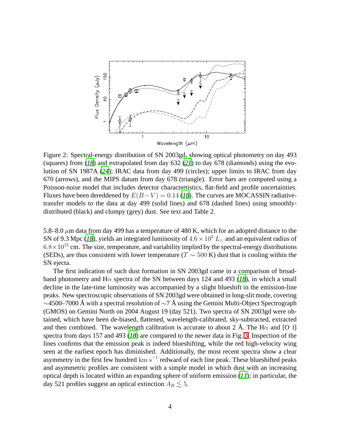

<span id="page-3-0"></span>Figure 2: Spectral-energy distribution of SN 2003gd, showing optical photometry on day 493 (squares) from (*[18](#page-9-12)*) and extrapolated from day 632 (*[21](#page-9-16)*) to day 678 (diamonds) using the evolution of SN 1987A (*[24](#page-9-17)*); IRAC data from day 499 (circles); upper limits to IRAC from day 670 (arrows), and the MIPS datum from day 678 (triangle). Error bars are computed using a Poisson-noise model that includes detector charactertistics, flat-field and profile uncertainties. Fluxes have been dereddened by  $E(B-V) = 0.14$  ([18](#page-9-12)). The curves are MOCASSIN radiativetransfer models to the data at day 499 (solid lines) and 678 (dashed lines) using smoothlydistributed (black) and clumpy (grey) dust. See text and Table 2.

5.8–8.0  $\mu$ m data from day 499 has a temperature of 480 K, which for an adopted distance to the SN of 9.3 Mpc ([18](#page-9-12)), yields an integrated luminosity of  $4.6 \times 10^5$  L<sub>☉</sub> and an equivalent radius of  $6.8\times10^{15}$  cm. The size, temperature, and variability implied by the spectral-energy distributions (SEDs), are thus consistent with lower temperature ( $T \sim 500$  K) dust that is cooling within the SN ejecta.

The first indication of such dust formation in SN 2003gd came in a comparison of broadband photometry and H $\alpha$  spectra of the SN between days 124 and 493 ([18](#page-9-12)), in which a small decline in the late-time luminosity was accompanied by a slight blueshift in the emission-line peaks. New spectroscopic observations of SN 2003gd were obtained in long-slit mode, covering  $\sim$ 4500–7000 Å with a spectral resolution of  $\sim$ 7 Å using the Gemini Multi-Object Spectrograph (GMOS) on Gemini North on 2004 August 19 (day 521). Two spectra of SN 2003gd were obtained, which have been de-biased, flattened, wavelength-calibrated, sky-subtracted, extracted and then combined. The wavelength calibration is accurate to about 2 Å. The H $\alpha$  and [O I] spectra from days 157 and 493 (*[18](#page-9-12)*) are compared to the newer data in Fig. [3.](#page-4-0) Inspection of the lines confirms that the emission peak is indeed blueshifting, while the red high-velocity wing seen at the earliest epoch has diminished. Additionally, the most recent spectra show a clear asymmetry in the first few hundred  $km s^{-1}$  redward of each line peak. These blueshifted peaks and asymmetric profiles are consistent with a simple model in which dust with an increasing optical depth is located within an expanding sphere of uniform emission (*[11](#page-9-6)*); in particular, the day 521 profiles suggest an optical extinction  $A_R \lesssim 5$ .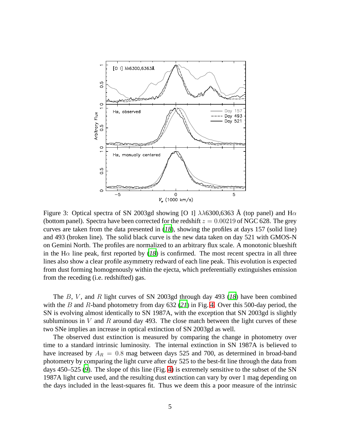

<span id="page-4-0"></span>Figure 3: Optical spectra of SN 2003gd showing [O I]  $\lambda\lambda$ 6300,6363 Å (top panel) and H $\alpha$ (bottom panel). Spectra have been corrected for the redshift  $z = 0.00219$  of NGC 628. The grey curves are taken from the data presented in (*[18](#page-9-12)*), showing the profiles at days 157 (solid line) and 493 (broken line). The solid black curve is the new data taken on day 521 with GMOS-N on Gemini North. The profiles are normalized to an arbitrary flux scale. A monotonic blueshift in the H $\alpha$  line peak, first reported by ([18](#page-9-12)) is confirmed. The most recent spectra in all three lines also show a clear profile asymmetry redward of each line peak. This evolution is expected from dust forming homogenously within the ejecta, which preferentially extinguishes emission from the receding (i.e. redshifted) gas.

The B, V , and R light curves of SN 2003gd through day 493 (*[18](#page-9-12)*) have been combined with the B and R-band photometry from day 632 (*[21](#page-9-16)*) in Fig. [4.](#page-5-0) Over this 500-day period, the SN is evolving almost identically to SN 1987A, with the exception that SN 2003gd is slightly subluminous in V and R around day 493. The close match between the light curves of these two SNe implies an increase in optical extinction of SN 2003gd as well.

The observed dust extinction is measured by comparing the change in photometry over time to a standard intrinsic luminosity. The internal extinction in SN 1987A is believed to have increased by  $A_R = 0.8$  mag between days 525 and 700, as determined in broad-band photometry by comparing the light curve after day 525 to the best-fit line through the data from days 450–525 (*[9](#page-9-4)*). The slope of this line (Fig. [4\)](#page-5-0) is extremely sensitive to the subset of the SN 1987A light curve used, and the resulting dust extinction can vary by over 1 mag depending on the days included in the least-squares fit. Thus we deem this a poor measure of the intrinsic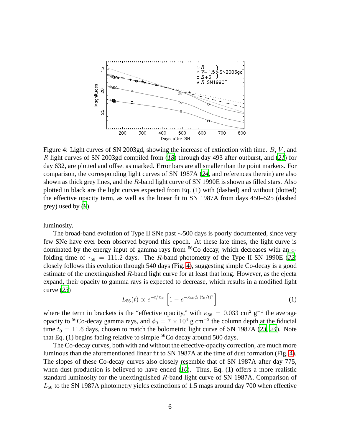

<span id="page-5-0"></span>Figure 4: Light curves of SN 2003gd, showing the increase of extinction with time.  $B, V$ , and R light curves of SN 2003gd compiled from (*[18](#page-9-12)*) through day 493 after outburst, and (*[21](#page-9-16)*) for day 632, are plotted and offset as marked. Error bars are all smaller than the point markers. For comparison, the corresponding light curves of SN 1987A (*[24](#page-9-17)*, and references therein) are also shown as thick grey lines, and the R-band light curve of SN 1990E is shown as filled stars. Also plotted in black are the light curves expected from Eq. (1) with (dashed) and without (dotted) the effective opacity term, as well as the linear fit to SN 1987A from days 450–525 (dashed grey) used by (*[9](#page-9-4)*).

luminosity.

The broad-band evolution of Type II SNe past ∼500 days is poorly documented, since very few SNe have ever been observed beyond this epoch. At these late times, the light curve is dominated by the energy input of gamma rays from  ${}^{56}Co$  decay, which decreases with an efolding time of  $\tau_{56} = 111.2$  days. The R-band photometry of the Type II SN 1990E ([22](#page-9-18)) closely follows this evolution through 540 days (Fig. [4\)](#page-5-0), suggesting simple Co-decay is a good estimate of the unextinguished R-band light curve for at least that long. However, as the ejecta expand, their opacity to gamma rays is expected to decrease, which results in a modified light curve (*[23](#page-9-19)*)

$$
L_{56}(t) \propto e^{-t/\tau_{56}} \left[ 1 - e^{-\kappa_{56}\phi_0(t_0/t)^2} \right]
$$
 (1)

where the term in brackets is the "effective opacity," with  $\kappa_{56} = 0.033$  cm<sup>2</sup> g<sup>-1</sup> the average opacity to <sup>56</sup>Co-decay gamma rays, and  $\phi_0 = 7 \times 10^4$  g cm<sup>-2</sup> the column depth at the fiducial time  $t_0 = 11.6$  days, chosen to match the bolometric light curve of SN 1987A ([23](#page-9-19), [24](#page-9-17)). Note that Eq. (1) begins fading relative to simple  ${}^{56}Co$  decay around 500 days.

The Co-decay curves, both with and without the effective-opacity correction, are much more luminous than the aforementioned linear fit to SN 1987A at the time of dust formation (Fig. [4\)](#page-5-0). The slopes of these Co-decay curves also closely resemble that of SN 1987A after day 775, when dust production is believed to have ended (*[10](#page-9-5)*). Thus, Eq. (1) offers a more realistic standard luminosity for the unextinguished R-band light curve of SN 1987A. Comparison of  $L_{56}$  to the SN 1987A photometry yields extinctions of 1.5 mags around day 700 when effective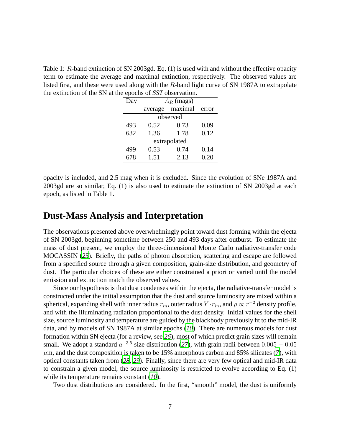Table 1: R-band extinction of SN 2003gd. Eq. (1) is used with and without the effective opacity term to estimate the average and maximal extinction, respectively. The observed values are listed first, and these were used along with the  $R$ -band light curve of SN 1987A to extrapolate the extinction of the SN at the epochs of *SST* observation.

| $A_R$ (mags) |         |       |  |  |  |
|--------------|---------|-------|--|--|--|
| average      | maximal | error |  |  |  |
| observed     |         |       |  |  |  |
| 0.52         | 0.73    | 0.09  |  |  |  |
| 1.36         | 1.78    | 0.12  |  |  |  |
| extrapolated |         |       |  |  |  |
| 0.53         | 0.74    | 0.14  |  |  |  |
| 1.51         | 2.13    | 0.20  |  |  |  |
|              |         |       |  |  |  |

opacity is included, and 2.5 mag when it is excluded. Since the evolution of SNe 1987A and 2003gd are so similar, Eq. (1) is also used to estimate the extinction of SN 2003gd at each epoch, as listed in Table 1.

#### **Dust-Mass Analysis and Interpretation**

The observations presented above overwhelmingly point toward dust forming within the ejecta of SN 2003gd, beginning sometime between 250 and 493 days after outburst. To estimate the mass of dust present, we employ the three-dimensional Monte Carlo radiative-transfer code MOCASSIN (*[25](#page-9-20)*). Briefly, the paths of photon absorption, scattering and escape are followed from a specified source through a given composition, grain-size distribution, and geometry of dust. The particular choices of these are either constrained a priori or varied until the model emission and extinction match the observed values.

Since our hypothesis is that dust condenses within the ejecta, the radiative-transfer model is constructed under the initial assumption that the dust and source luminosity are mixed within a spherical, expanding shell with inner radius  $r_{in}$ , outer radius  $Y \cdot r_{in}$ , and  $\rho \propto r^{-2}$  density profile, and with the illuminating radiation proportional to the dust density. Initial values for the shell size, source luminosity and temperature are guided by the blackbody previously fit to the mid-IR data, and by models of SN 1987A at similar epochs (*[10](#page-9-5)*). There are numerous models for dust formation within SN ejecta (for a review, see *[26](#page-9-21)*), most of which predict grain sizes will remain small. We adopt a standard  $a^{-3.5}$  size distribution ([27](#page-9-22)), with grain radii between  $0.005 - 0.05$  $\mu$ m, and the dust composition is taken to be 15% amorphous carbon and 85% silicates ([7](#page-9-2)), with optical constants taken from (*[28](#page-9-23)*, *[29](#page-10-0)*). Finally, since there are very few optical and mid-IR data to constrain a given model, the source luminosity is restricted to evolve according to Eq. (1) while its temperature remains constant (*[10](#page-9-5)*).

Two dust distributions are considered. In the first, "smooth" model, the dust is uniformly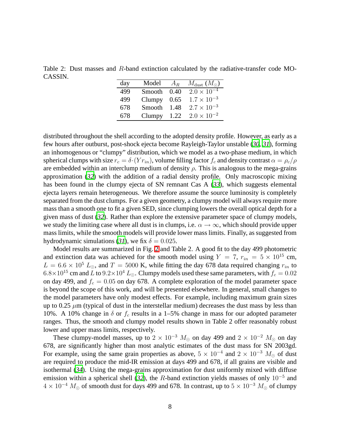Table 2: Dust masses and R-band extinction calculated by the radiative-transfer code MO-CASSIN.

| day | Model  | $A_R$ | $M_{\rm dust}$ ( $M_{\odot}$ ) |
|-----|--------|-------|--------------------------------|
| 499 | Smooth | 0.40  | $2.0 \times 10^{-4}$           |
| 499 | Clumpy | 0.65  | $1.7 \times 10^{-3}$           |
| 678 | Smooth | 1.48  | $2.7 \times 10^{-3}$           |
| 678 | Clumpy | 122   | $2.0 \times 10^{-2}$           |

distributed throughout the shell according to the adopted density profile. However, as early as a few hours after outburst, post-shock ejecta become Rayleigh-Taylor unstable (*[30](#page-10-1)*, *[31](#page-10-2)*), forming an inhomogenous or "clumpy" distribution, which we model as a two-phase medium, in which spherical clumps with size  $r_c = \delta (Y r_{in})$ , volume filling factor  $f_c$  and density contrast  $\alpha = \rho_c / \rho$ are embedded within an interclump medium of density  $\rho$ . This is analogous to the mega-grains approximation (*[32](#page-10-3)*) with the addition of a radial density profile. Only macroscopic mixing has been found in the clumpy ejecta of SN remnant Cas A (*[33](#page-10-4)*), which suggests elemental ejecta layers remain heterogeneous. We therefore assume the source luminosity is completely separated from the dust clumps. For a given geometry, a clumpy model will always require more mass than a smooth one to fit a given SED, since clumping lowers the overall optical depth for a given mass of dust (*[32](#page-10-3)*). Rather than explore the extensive parameter space of clumpy models, we study the limiting case where all dust is in clumps, i.e.  $\alpha \to \infty$ , which should provide upper mass limits, while the smooth models will provide lower mass limits. Finally, as suggested from hydrodynamic simulations ([31](#page-10-2)), we fix  $\delta = 0.025$ .

Model results are summarized in Fig. [2](#page-3-0) and Table 2. A good fit to the day 499 photometric and extinction data was achieved for the smooth model using  $Y = 7$ ,  $r_{in} = 5 \times 10^{15}$  cm,  $L = 6.6 \times 10^5 L_{\odot}$ , and  $T = 5000$  K, while fitting the day 678 data required changing  $r_{in}$  to  $6.8\times10^{15}$  cm and L to  $9.2\times10^{4}$  L<sub>⊙</sub>. Clumpy models used these same parameters, with  $f_c = 0.02$ on day 499, and  $f_c = 0.05$  on day 678. A complete exploration of the model parameter space is beyond the scope of this work, and will be presented elsewhere. In general, small changes to the model parameters have only modest effects. For example, including maximum grain sizes up to 0.25  $\mu$ m (typical of dust in the interstellar medium) decreases the dust mass by less than 10%. A 10% change in  $\delta$  or  $f_c$  results in a 1–5% change in mass for our adopted parameter ranges. Thus, the smooth and clumpy model results shown in Table 2 offer reasonably robust lower and upper mass limits, respectively.

These clumpy-model masses, up to  $2 \times 10^{-3}$   $M_{\odot}$  on day 499 and  $2 \times 10^{-2}$   $M_{\odot}$  on day 678, are significantly higher than most analytic estimates of the dust mass for SN 2003gd. For example, using the same grain properties as above,  $5 \times 10^{-4}$  and  $2 \times 10^{-3}$   $M_{\odot}$  of dust are required to produce the mid-IR emission at days 499 and 678, if all grains are visible and isothermal (*[34](#page-10-5)*). Using the mega-grains approximation for dust uniformly mixed with diffuse emission within a spherical shell ([32](#page-10-3)), the R-band extinction yields masses of only  $10^{-5}$  and  $4 \times 10^{-4}$   $M_{\odot}$  of smooth dust for days 499 and 678. In contrast, up to  $5 \times 10^{-3}$   $M_{\odot}$  of clumpy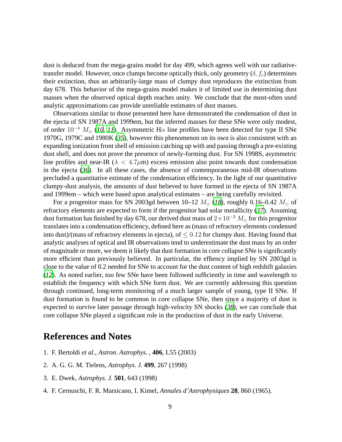dust is deduced from the mega-grains model for day 499, which agrees well with our radiativetransfer model. However, once clumps become optically thick, only geometry  $(\delta, f_c)$  determines their extinction, thus an arbitrarily-large mass of clumpy dust reproduces the extinction from day 678. This behavior of the mega-grains model makes it of limited use in determining dust masses when the observed optical depth reaches unity. We conclude that the most-often used analytic approximations can provide unreliable estimates of dust masses.

Observations similar to those presented here have demonstrated the condensation of dust in the ejecta of SN 1987A and 1999em, but the inferred masses for these SNe were only modest, of order  $10^{-4}$  $10^{-4}$   $M_{\odot}$  (*10, [11](#page-9-6)*). Asymmetric H $\alpha$  line profiles have been detected for type II SNe 1970G, 1979C and 1980K (*[35](#page-10-6)*), however this phenomenon on its own is also consistent with an expanding ionization front shell of emission catching up with and passing through a pre-existing dust shell, and does not prove the presence of newly-forming dust. For SN 1998S, asymmetric line profiles and near-IR ( $\lambda < 4.7 \mu m$ ) excess emission also point towards dust condensation in the ejecta  $(36)$  $(36)$  $(36)$ . In all these cases, the absence of contemporaneous mid-IR observations precluded a quantitative estimate of the condensation efficiency. In the light of our quantitative clumpy-dust analysis, the amounts of dust believed to have formed in the ejecta of SN 1987A and 1999em – which were based upon analytical estimates – are being carefully revisited.

For a progenitor mass for SN 2003gd between 10–12  $M_{\odot}$  ([18](#page-9-12)), roughly 0.16–0.42  $M_{\odot}$  of refractory elements are expected to form if the progenitor had solar metallicity (*[37](#page-10-8)*). Assuming dust formation has finished by day 678, our derived dust mass of  $2 \times 10^{-2}$  M<sub>o</sub> for this progenitor translates into a condensation efficiency, defined here as (mass of refractory elements condensed into dust)/(mass of refractory elements in ejecta), of  $\leq 0.12$  for clumpy dust. Having found that analytic analyses of optical and IR observations tend to underestimate the dust mass by an order of magnitude or more, we deem it likely that dust formation in core collapse SNe is significantly more efficient than previously believed. In particular, the effiency implied by SN 2003gd is close to the value of 0.2 needed for SNe to account for the dust content of high redshift galaxies (*[12](#page-9-7)*). As noted earlier, too few SNe have been followed sufficiently in time and wavelength to establish the frequency with which SNe form dust. We are currently addressing this question through continued, long-term monitoring of a much larger sample of young, type II SNe. If dust formation is found to be common in core collapse SNe, then since a majority of dust is expected to survive later passage through high-velocity SN shocks (*[38](#page-10-9)*), we can conclude that core collapse SNe played a significant role in the production of dust in the early Universe.

### **References and Notes**

- <span id="page-8-0"></span>1. F. Bertoldi *et al.*, *Astron. Astrophys.* , **406**, L55 (2003)
- <span id="page-8-1"></span>2. A. G. G. M. Tielens, *Astrophys. J.* **499**, 267 (1998)
- <span id="page-8-2"></span>3. E. Dwek, *Astrophys. J.* **501**, 643 (1998)
- <span id="page-8-3"></span>4. F. Cernuschi, F. R. Marsicano, I. Kimel, *Annales d'Astrophysiques* **28**, 860 (1965).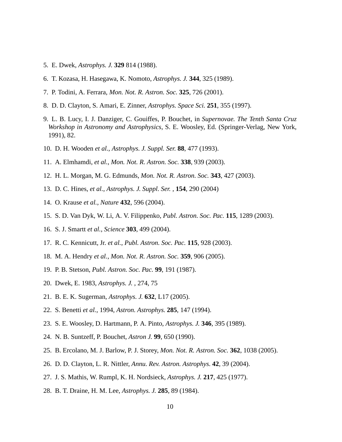- <span id="page-9-0"></span>5. E. Dwek, *Astrophys. J.* **329** 814 (1988).
- <span id="page-9-1"></span>6. T. Kozasa, H. Hasegawa, K. Nomoto, *Astrophys. J.* **344**, 325 (1989).
- <span id="page-9-2"></span>7. P. Todini, A. Ferrara, *Mon. Not. R. Astron. Soc.* **325**, 726 (2001).
- <span id="page-9-3"></span>8. D. D. Clayton, S. Amari, E. Zinner, *Astrophys. Space Sci.* **251**, 355 (1997).
- <span id="page-9-4"></span>9. L. B. Lucy, I. J. Danziger, C. Gouiffes, P. Bouchet, in *Supernovae. The Tenth Santa Cruz Workshop in Astronomy and Astrophysics*, S. E. Woosley, Ed. (Springer-Verlag, New York, 1991), 82.
- <span id="page-9-5"></span>10. D. H. Wooden *et al.*, *Astrophys. J. Suppl. Ser.* **88**, 477 (1993).
- <span id="page-9-6"></span>11. A. Elmhamdi, *et al.*, *Mon. Not. R. Astron. Soc.* **338**, 939 (2003).
- <span id="page-9-7"></span>12. H. L. Morgan, M. G. Edmunds, *Mon. Not. R. Astron. Soc.* **343**, 427 (2003).
- <span id="page-9-8"></span>13. D. C. Hines, *et al.*, *Astrophys. J. Suppl. Ser.* , **154**, 290 (2004)
- <span id="page-9-9"></span>14. O. Krause *et al.*, *Nature* **432**, 596 (2004).
- <span id="page-9-10"></span>15. S. D. Van Dyk, W. Li, A. V. Filippenko, *Publ. Astron. Soc. Pac.* **115**, 1289 (2003).
- <span id="page-9-11"></span>16. S. J. Smartt *et al.*, *Science* **303**, 499 (2004).
- <span id="page-9-13"></span>17. R. C. Kennicutt, Jr. *et al.*, *Publ. Astron. Soc. Pac.* **115**, 928 (2003).
- <span id="page-9-12"></span>18. M. A. Hendry *et al.*, *Mon. Not. R. Astron. Soc.* **359**, 906 (2005).
- <span id="page-9-14"></span>19. P. B. Stetson, *Publ. Astron. Soc. Pac.* **99**, 191 (1987).
- <span id="page-9-15"></span>20. Dwek, E. 1983, *Astrophys. J.* , 274, 75
- <span id="page-9-16"></span>21. B. E. K. Sugerman, *Astrophys. J.* **632**, L17 (2005).
- <span id="page-9-18"></span>22. S. Benetti *et al.*, 1994, *Astron. Astrophys.* **285**, 147 (1994).
- <span id="page-9-19"></span>23. S. E. Woosley, D. Hartmann, P. A. Pinto, *Astrophys. J.* **346**, 395 (1989).
- <span id="page-9-17"></span>24. N. B. Suntzeff, P. Bouchet, *Astron J.* **99**, 650 (1990).
- <span id="page-9-20"></span>25. B. Ercolano, M. J. Barlow, P. J. Storey, *Mon. Not. R. Astron. Soc.* **362**, 1038 (2005).
- <span id="page-9-21"></span>26. D. D. Clayton, L. R. Nittler, *Annu. Rev. Astron. Astrophys.* **42**, 39 (2004).
- <span id="page-9-22"></span>27. J. S. Mathis, W. Rumpl, K. H. Nordsieck, *Astrophys. J.* **217**, 425 (1977).
- <span id="page-9-23"></span>28. B. T. Draine, H. M. Lee, *Astrophys. J.* **285**, 89 (1984).